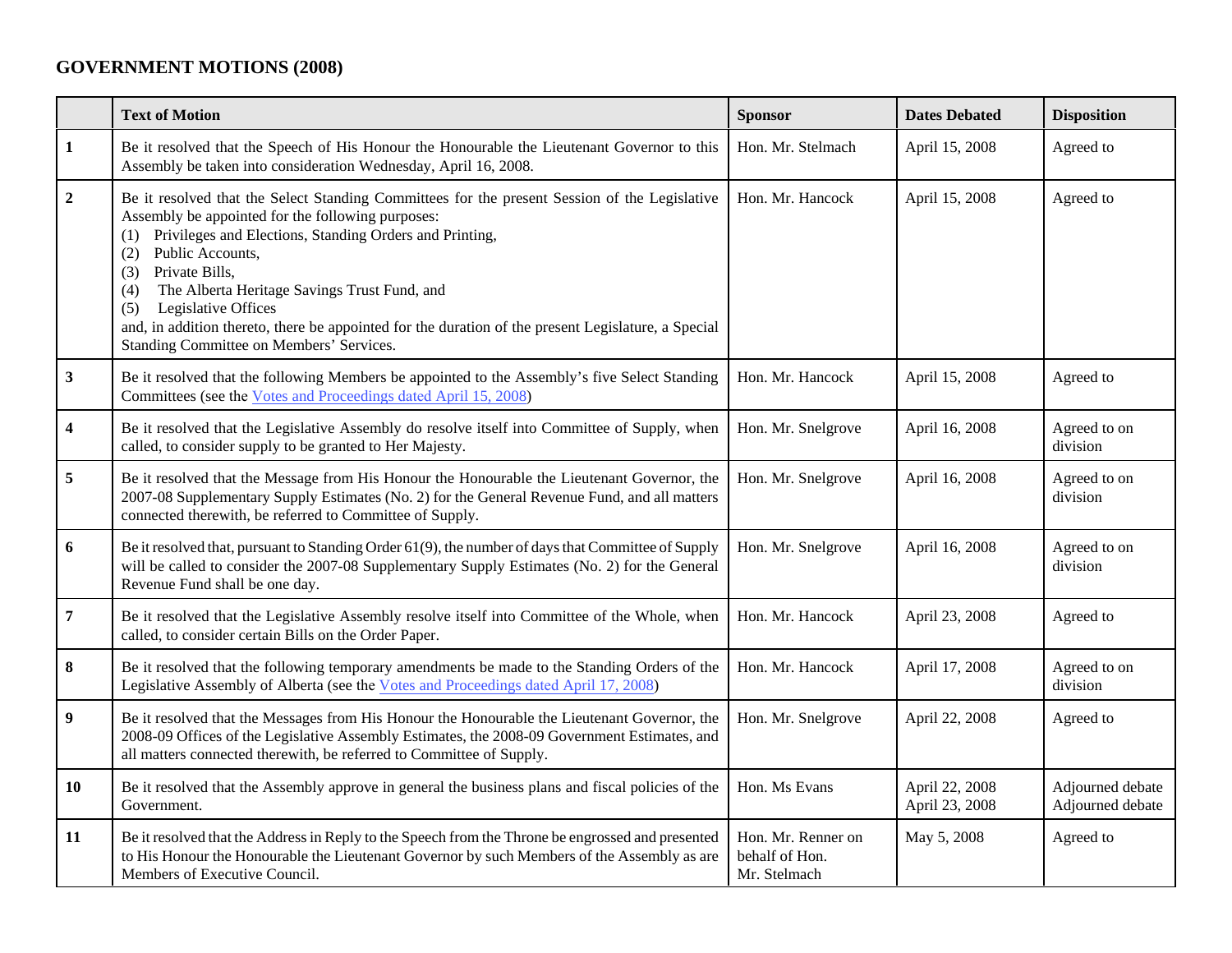## **GOVERNMENT MOTIONS (2008)**

|                         | <b>Text of Motion</b>                                                                                                                                                                                                                                                                                                                                                                                                                                                                                     | <b>Sponsor</b>                                       | <b>Dates Debated</b>             | <b>Disposition</b>                   |
|-------------------------|-----------------------------------------------------------------------------------------------------------------------------------------------------------------------------------------------------------------------------------------------------------------------------------------------------------------------------------------------------------------------------------------------------------------------------------------------------------------------------------------------------------|------------------------------------------------------|----------------------------------|--------------------------------------|
| $\mathbf{1}$            | Be it resolved that the Speech of His Honour the Honourable the Lieutenant Governor to this<br>Assembly be taken into consideration Wednesday, April 16, 2008.                                                                                                                                                                                                                                                                                                                                            | Hon. Mr. Stelmach                                    | April 15, 2008                   | Agreed to                            |
| $\overline{2}$          | Be it resolved that the Select Standing Committees for the present Session of the Legislative<br>Assembly be appointed for the following purposes:<br>Privileges and Elections, Standing Orders and Printing,<br>Public Accounts,<br>(2)<br>Private Bills,<br>(3)<br>The Alberta Heritage Savings Trust Fund, and<br>(4)<br>Legislative Offices<br>(5)<br>and, in addition thereto, there be appointed for the duration of the present Legislature, a Special<br>Standing Committee on Members' Services. | Hon. Mr. Hancock                                     | April 15, 2008                   | Agreed to                            |
| $\mathbf{3}$            | Be it resolved that the following Members be appointed to the Assembly's five Select Standing<br>Committees (see the Votes and Proceedings dated April 15, 2008)                                                                                                                                                                                                                                                                                                                                          | Hon. Mr. Hancock                                     | April 15, 2008                   | Agreed to                            |
| $\overline{\mathbf{4}}$ | Be it resolved that the Legislative Assembly do resolve itself into Committee of Supply, when<br>called, to consider supply to be granted to Her Majesty.                                                                                                                                                                                                                                                                                                                                                 | Hon. Mr. Snelgrove                                   | April 16, 2008                   | Agreed to on<br>division             |
| $\sqrt{5}$              | Be it resolved that the Message from His Honour the Honourable the Lieutenant Governor, the<br>2007-08 Supplementary Supply Estimates (No. 2) for the General Revenue Fund, and all matters<br>connected therewith, be referred to Committee of Supply.                                                                                                                                                                                                                                                   | Hon. Mr. Snelgrove                                   | April 16, 2008                   | Agreed to on<br>division             |
| 6                       | Be it resolved that, pursuant to Standing Order 61(9), the number of days that Committee of Supply<br>will be called to consider the 2007-08 Supplementary Supply Estimates (No. 2) for the General<br>Revenue Fund shall be one day.                                                                                                                                                                                                                                                                     | Hon. Mr. Snelgrove                                   | April 16, 2008                   | Agreed to on<br>division             |
| $\overline{\bf 7}$      | Be it resolved that the Legislative Assembly resolve itself into Committee of the Whole, when<br>called, to consider certain Bills on the Order Paper.                                                                                                                                                                                                                                                                                                                                                    | Hon. Mr. Hancock                                     | April 23, 2008                   | Agreed to                            |
| 8                       | Be it resolved that the following temporary amendments be made to the Standing Orders of the<br>Legislative Assembly of Alberta (see the Votes and Proceedings dated April 17, 2008)                                                                                                                                                                                                                                                                                                                      | Hon. Mr. Hancock                                     | April 17, 2008                   | Agreed to on<br>division             |
| $\boldsymbol{9}$        | Be it resolved that the Messages from His Honour the Honourable the Lieutenant Governor, the<br>2008-09 Offices of the Legislative Assembly Estimates, the 2008-09 Government Estimates, and<br>all matters connected therewith, be referred to Committee of Supply.                                                                                                                                                                                                                                      | Hon. Mr. Snelgrove                                   | April 22, 2008                   | Agreed to                            |
| 10                      | Be it resolved that the Assembly approve in general the business plans and fiscal policies of the<br>Government.                                                                                                                                                                                                                                                                                                                                                                                          | Hon. Ms Evans                                        | April 22, 2008<br>April 23, 2008 | Adjourned debate<br>Adjourned debate |
| 11                      | Be it resolved that the Address in Reply to the Speech from the Throne be engrossed and presented<br>to His Honour the Honourable the Lieutenant Governor by such Members of the Assembly as are<br>Members of Executive Council.                                                                                                                                                                                                                                                                         | Hon. Mr. Renner on<br>behalf of Hon.<br>Mr. Stelmach | May 5, 2008                      | Agreed to                            |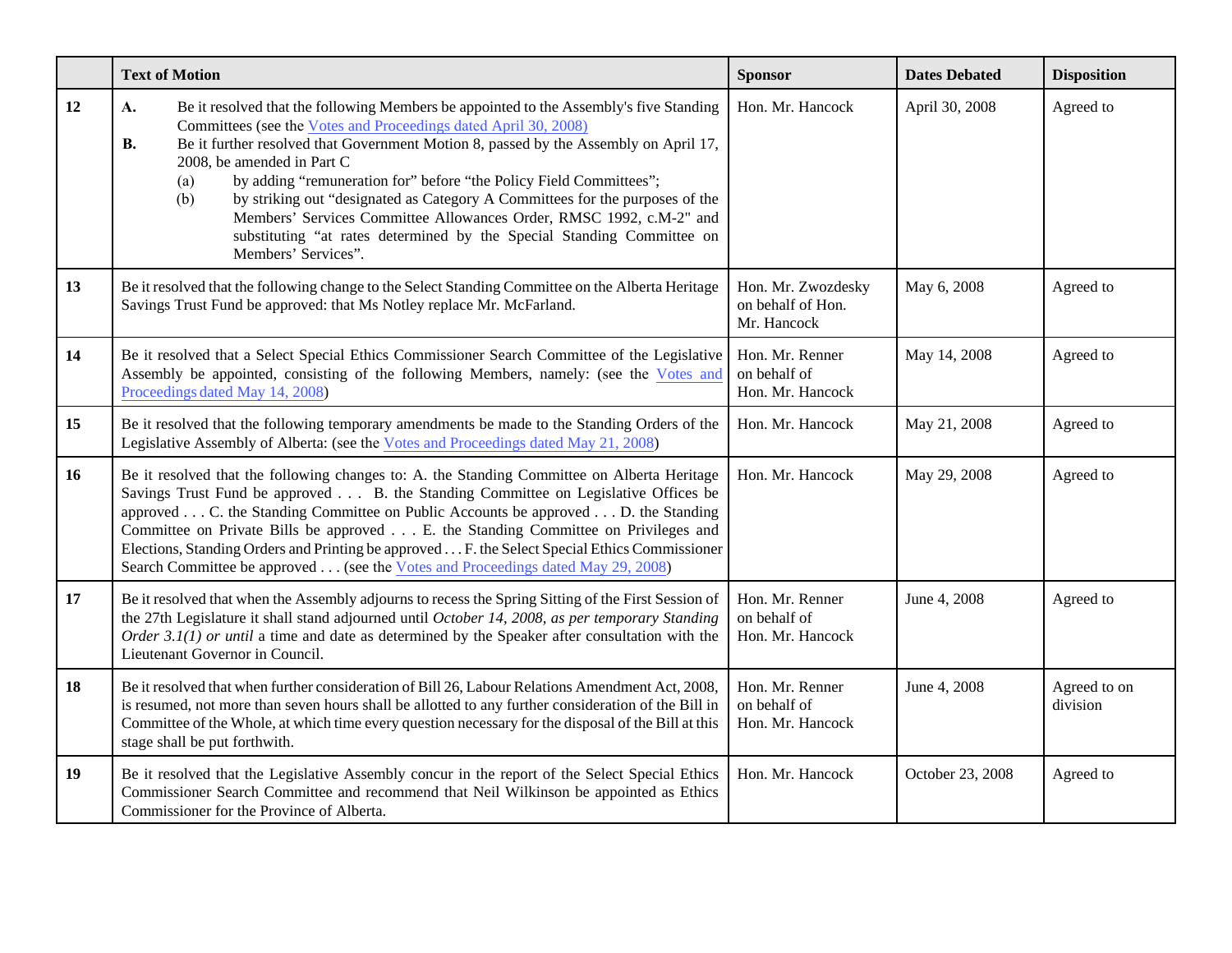|    | <b>Text of Motion</b>                                                                                                                                                                                                                                                                                                                                                                                                                                                                                                                                                                                                                          | <b>Sponsor</b>                                         | <b>Dates Debated</b> | <b>Disposition</b>       |
|----|------------------------------------------------------------------------------------------------------------------------------------------------------------------------------------------------------------------------------------------------------------------------------------------------------------------------------------------------------------------------------------------------------------------------------------------------------------------------------------------------------------------------------------------------------------------------------------------------------------------------------------------------|--------------------------------------------------------|----------------------|--------------------------|
| 12 | Be it resolved that the following Members be appointed to the Assembly's five Standing<br>A.<br>Committees (see the Votes and Proceedings dated April 30, 2008)<br>Be it further resolved that Government Motion 8, passed by the Assembly on April 17,<br><b>B.</b><br>2008, be amended in Part C<br>by adding "remuneration for" before "the Policy Field Committees";<br>(a)<br>by striking out "designated as Category A Committees for the purposes of the<br>(b)<br>Members' Services Committee Allowances Order, RMSC 1992, c.M-2" and<br>substituting "at rates determined by the Special Standing Committee on<br>Members' Services". | Hon. Mr. Hancock                                       | April 30, 2008       | Agreed to                |
| 13 | Be it resolved that the following change to the Select Standing Committee on the Alberta Heritage<br>Savings Trust Fund be approved: that Ms Notley replace Mr. McFarland.                                                                                                                                                                                                                                                                                                                                                                                                                                                                     | Hon. Mr. Zwozdesky<br>on behalf of Hon.<br>Mr. Hancock | May 6, 2008          | Agreed to                |
| 14 | Be it resolved that a Select Special Ethics Commissioner Search Committee of the Legislative<br>Assembly be appointed, consisting of the following Members, namely: (see the Votes and<br>Proceedings dated May 14, 2008)                                                                                                                                                                                                                                                                                                                                                                                                                      | Hon. Mr. Renner<br>on behalf of<br>Hon. Mr. Hancock    | May 14, 2008         | Agreed to                |
| 15 | Be it resolved that the following temporary amendments be made to the Standing Orders of the<br>Legislative Assembly of Alberta: (see the Votes and Proceedings dated May 21, 2008)                                                                                                                                                                                                                                                                                                                                                                                                                                                            | Hon. Mr. Hancock                                       | May 21, 2008         | Agreed to                |
| 16 | Be it resolved that the following changes to: A. the Standing Committee on Alberta Heritage<br>Savings Trust Fund be approved B. the Standing Committee on Legislative Offices be<br>approved C. the Standing Committee on Public Accounts be approved D. the Standing<br>Committee on Private Bills be approved E. the Standing Committee on Privileges and<br>Elections, Standing Orders and Printing be approved F. the Select Special Ethics Commissioner<br>Search Committee be approved (see the Votes and Proceedings dated May 29, 2008)                                                                                               | Hon. Mr. Hancock                                       | May 29, 2008         | Agreed to                |
| 17 | Be it resolved that when the Assembly adjourns to recess the Spring Sitting of the First Session of<br>the 27th Legislature it shall stand adjourned until October 14, 2008, as per temporary Standing<br>Order 3.1(1) or until a time and date as determined by the Speaker after consultation with the<br>Lieutenant Governor in Council.                                                                                                                                                                                                                                                                                                    | Hon. Mr. Renner<br>on behalf of<br>Hon. Mr. Hancock    | June 4, 2008         | Agreed to                |
| 18 | Be it resolved that when further consideration of Bill 26, Labour Relations Amendment Act, 2008,<br>is resumed, not more than seven hours shall be allotted to any further consideration of the Bill in<br>Committee of the Whole, at which time every question necessary for the disposal of the Bill at this<br>stage shall be put forthwith.                                                                                                                                                                                                                                                                                                | Hon. Mr. Renner<br>on behalf of<br>Hon. Mr. Hancock    | June 4, 2008         | Agreed to on<br>division |
| 19 | Be it resolved that the Legislative Assembly concur in the report of the Select Special Ethics<br>Commissioner Search Committee and recommend that Neil Wilkinson be appointed as Ethics<br>Commissioner for the Province of Alberta.                                                                                                                                                                                                                                                                                                                                                                                                          | Hon. Mr. Hancock                                       | October 23, 2008     | Agreed to                |